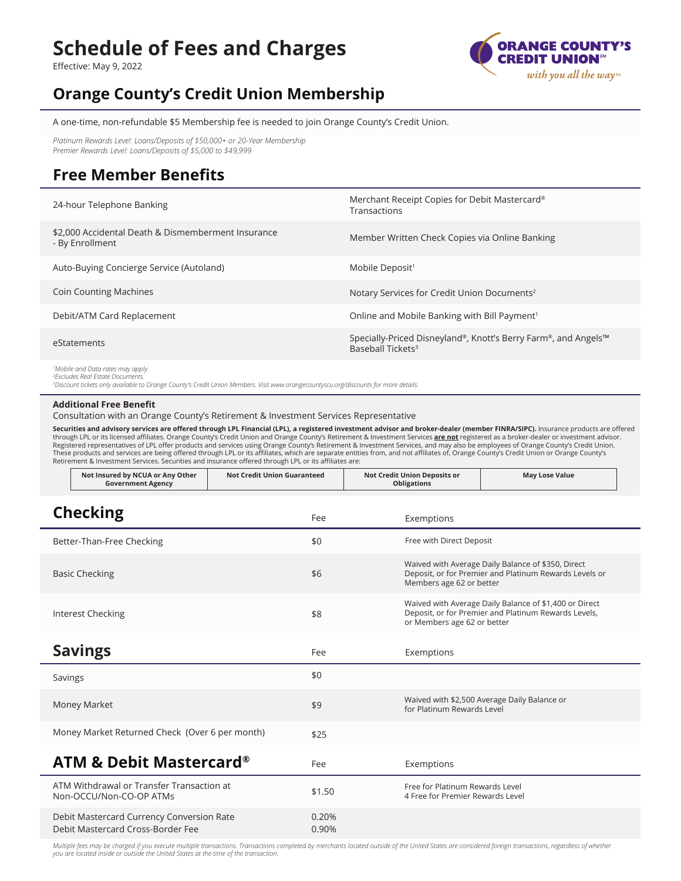# **Schedule of Fees and Charges**

Effective: May 9, 2022



**May Lose Value**

## **Orange County's Credit Union Membership**

A one-time, non-refundable \$5 Membership fee is needed to join Orange County's Credit Union.

*Platinum Rewards Level: Loans/Deposits of \$50,000+ or 20-Year Membership Premier Rewards Level: Loans/Deposits of \$5,000 to \$49,999*

### **Free Member Benefits**

| 24-hour Telephone Banking                                             | Merchant Receipt Copies for Debit Mastercard®<br>Transactions                                   |
|-----------------------------------------------------------------------|-------------------------------------------------------------------------------------------------|
| \$2,000 Accidental Death & Dismemberment Insurance<br>- By Enrollment | Member Written Check Copies via Online Banking                                                  |
| Auto-Buying Concierge Service (Autoland)                              | Mobile Deposit <sup>1</sup>                                                                     |
| <b>Coin Counting Machines</b>                                         | Notary Services for Credit Union Documents <sup>2</sup>                                         |
| Debit/ATM Card Replacement                                            | Online and Mobile Banking with Bill Payment <sup>1</sup>                                        |
| eStatements                                                           | Specially-Priced Disneyland®, Knott's Berry Farm®, and Angels™<br>Baseball Tickets <sup>3</sup> |
| <sup>1</sup> Mobile and Data rates may apply.                         |                                                                                                 |

*2 Excludes Real Estate Documents.*

*3 Discount tickets only available to Orange County's Credit Union Members. Visit www.orangecountyscu.org/discounts for more details.* 

#### **Additional Free Benefit**

**Not Insured by NCUA or Any Other** 

Consultation with an Orange County's Retirement & Investment Services Representative

Securities and advisory services are offered through LPL Financial (LPL), a registered investment advisor and broker-dealer (member FINRA/SIPC). Insurance products are offered through LPL or its licensed affiliates. Orange County's Credit Union and Orange County's Retirement & Investment Services **are not** registered as a broker-dealer or investment advisor. Registered representatives of LPL offer products and services using Orange County's Retirement & Investment Services, and may also be employees of Orange County's Credit Union.<br>These products and services are being offered Retirement & Investment Services. Securities and insurance offered through LPL or its affiliates are:

**Not Credit Union Guaranteed Not Credit Union Deposits or** 

| <b>Government Agency</b>                                                       |                | <b>Obligations</b>                                                                                                                            |
|--------------------------------------------------------------------------------|----------------|-----------------------------------------------------------------------------------------------------------------------------------------------|
| <b>Checking</b>                                                                | Fee            | Exemptions                                                                                                                                    |
| Better-Than-Free Checking                                                      | \$0            | Free with Direct Deposit                                                                                                                      |
| <b>Basic Checking</b>                                                          | \$6            | Waived with Average Daily Balance of \$350, Direct<br>Deposit, or for Premier and Platinum Rewards Levels or<br>Members age 62 or better      |
| Interest Checking                                                              | \$8            | Waived with Average Daily Balance of \$1,400 or Direct<br>Deposit, or for Premier and Platinum Rewards Levels,<br>or Members age 62 or better |
| <b>Savings</b>                                                                 | Fee            | Exemptions                                                                                                                                    |
| Savings                                                                        | \$0            |                                                                                                                                               |
| <b>Money Market</b>                                                            | \$9            | Waived with \$2,500 Average Daily Balance or<br>for Platinum Rewards Level                                                                    |
| Money Market Returned Check (Over 6 per month)                                 | \$25           |                                                                                                                                               |
| <b>ATM &amp; Debit Mastercard®</b>                                             | Fee            | Exemptions                                                                                                                                    |
| ATM Withdrawal or Transfer Transaction at<br>Non-OCCU/Non-CO-OP ATMs           | \$1.50         | Free for Platinum Rewards Level<br>4 Free for Premier Rewards Level                                                                           |
| Debit Mastercard Currency Conversion Rate<br>Debit Mastercard Cross-Border Fee | 0.20%<br>0.90% |                                                                                                                                               |

*Multiple fees may be charged if you execute multiple transactions. Transactions completed by merchants located outside of the United States are considered foreign transactions, regardless of whether you are located inside or outside the United States at the time of the transaction.*